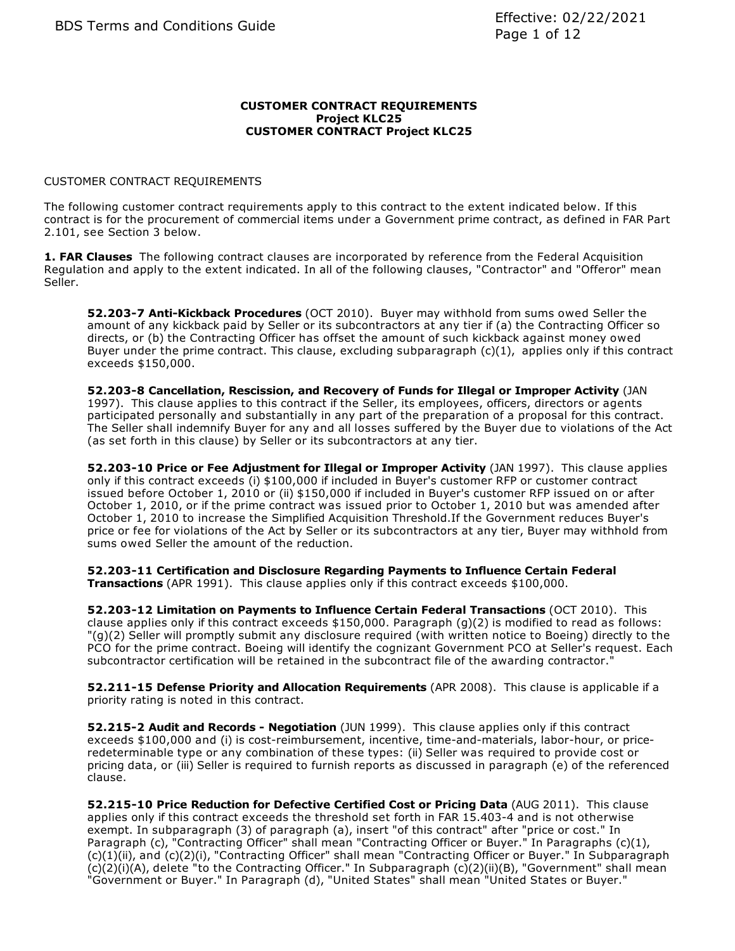### **CUSTOMER CONTRACT REQUIREMENTS Project KLC25 CUSTOMER CONTRACT Project KLC25**

# CUSTOMER CONTRACT REQUIREMENTS

The following customer contract requirements apply to this contract to the extent indicated below. If this contract is for the procurement of commercial items under a Government prime contract, as defined in FAR Part 2.101, see Section 3 below.

**1. FAR Clauses** The following contract clauses are incorporated by reference from the Federal Acquisition Regulation and apply to the extent indicated. In all of the following clauses, "Contractor" and "Offeror" mean Seller.

**52.203-7 Anti-Kickback Procedures** (OCT 2010). Buyer may withhold from sums owed Seller the amount of any kickback paid by Seller or its subcontractors at any tier if (a) the Contracting Officer so directs, or (b) the Contracting Officer has offset the amount of such kickback against money owed Buyer under the prime contract. This clause, excluding subparagraph  $(c)(1)$ , applies only if this contract exceeds \$150,000.

**52.203-8 Cancellation, Rescission, and Recovery of Funds for Illegal or Improper Activity** (JAN 1997). This clause applies to this contract if the Seller, its employees, officers, directors or agents participated personally and substantially in any part of the preparation of a proposal for this contract. The Seller shall indemnify Buyer for any and all losses suffered by the Buyer due to violations of the Act (as set forth in this clause) by Seller or its subcontractors at any tier.

**52.203-10 Price or Fee Adjustment for Illegal or Improper Activity** (JAN 1997). This clause applies only if this contract exceeds (i) \$100,000 if included in Buyer's customer RFP or customer contract issued before October 1, 2010 or (ii) \$150,000 if included in Buyer's customer RFP issued on or after October 1, 2010, or if the prime contract was issued prior to October 1, 2010 but was amended after October 1, 2010 to increase the Simplified Acquisition Threshold.If the Government reduces Buyer's price or fee for violations of the Act by Seller or its subcontractors at any tier, Buyer may withhold from sums owed Seller the amount of the reduction.

**52.203-11 Certification and Disclosure Regarding Payments to Influence Certain Federal Transactions** (APR 1991). This clause applies only if this contract exceeds \$100,000.

**52.203-12 Limitation on Payments to Influence Certain Federal Transactions** (OCT 2010). This clause applies only if this contract exceeds \$150,000. Paragraph (g)(2) is modified to read as follows: "(g)(2) Seller will promptly submit any disclosure required (with written notice to Boeing) directly to the PCO for the prime contract. Boeing will identify the cognizant Government PCO at Seller's request. Each subcontractor certification will be retained in the subcontract file of the awarding contractor."

**52.211-15 Defense Priority and Allocation Requirements** (APR 2008). This clause is applicable if a priority rating is noted in this contract.

**52.215-2 Audit and Records - Negotiation** (JUN 1999). This clause applies only if this contract exceeds \$100,000 and (i) is cost-reimbursement, incentive, time-and-materials, labor-hour, or priceredeterminable type or any combination of these types: (ii) Seller was required to provide cost or pricing data, or (iii) Seller is required to furnish reports as discussed in paragraph (e) of the referenced clause.

**52.215-10 Price Reduction for Defective Certified Cost or Pricing Data** (AUG 2011). This clause applies only if this contract exceeds the threshold set forth in FAR 15.403-4 and is not otherwise exempt. In subparagraph (3) of paragraph (a), insert "of this contract" after "price or cost." In Paragraph (c), "Contracting Officer" shall mean "Contracting Officer or Buyer." In Paragraphs (c)(1), (c)(1)(ii), and (c)(2)(i), "Contracting Officer" shall mean "Contracting Officer or Buyer." In Subparagraph (c)(2)(i)(A), delete "to the Contracting Officer." In Subparagraph (c)(2)(ii)(B), "Government" shall mean "Government or Buyer." In Paragraph (d), "United States" shall mean "United States or Buyer."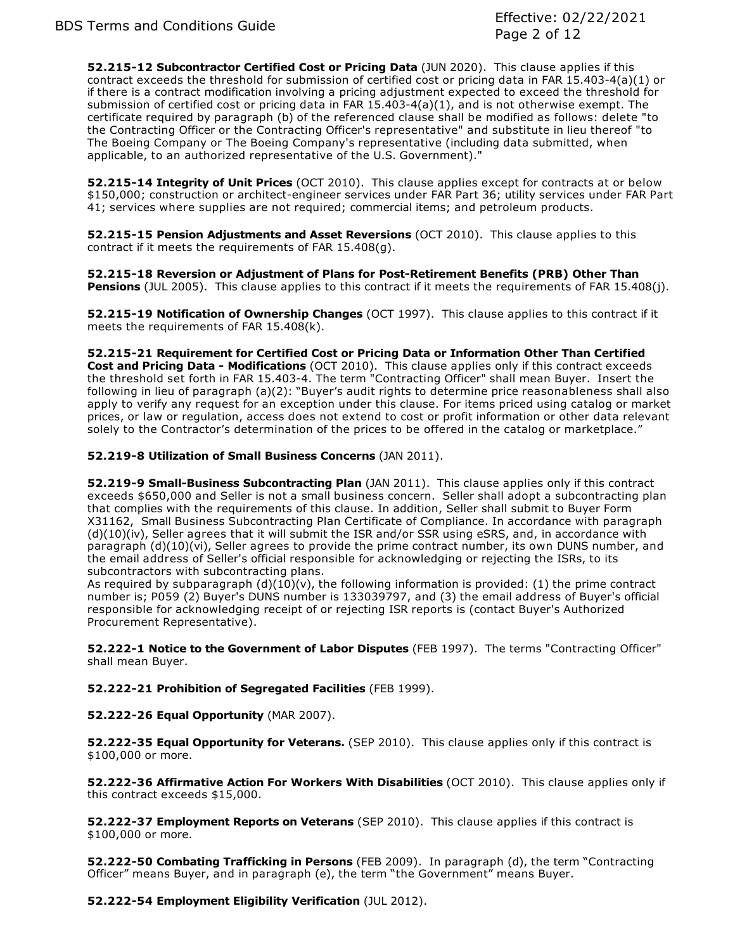**52.215-12 Subcontractor Certified Cost or Pricing Data** (JUN 2020). This clause applies if this contract exceeds the threshold for submission of certified cost or pricing data in FAR 15.403-4(a)(1) or if there is a contract modification involving a pricing adjustment expected to exceed the threshold for submission of certified cost or pricing data in FAR 15.403-4(a)(1), and is not otherwise exempt. The certificate required by paragraph (b) of the referenced clause shall be modified as follows: delete "to the Contracting Officer or the Contracting Officer's representative" and substitute in lieu thereof "to The Boeing Company or The Boeing Company's representative (including data submitted, when applicable, to an authorized representative of the U.S. Government)."

**52.215-14 Integrity of Unit Prices** (OCT 2010). This clause applies except for contracts at or below \$150,000; construction or architect-engineer services under FAR Part 36; utility services under FAR Part 41; services where supplies are not required; commercial items; and petroleum products.

**52.215-15 Pension Adjustments and Asset Reversions** (OCT 2010). This clause applies to this contract if it meets the requirements of FAR 15.408(g).

**52.215-18 Reversion or Adjustment of Plans for Post-Retirement Benefits (PRB) Other Than Pensions** (JUL 2005). This clause applies to this contract if it meets the requirements of FAR 15.408(j).

**52.215-19 Notification of Ownership Changes** (OCT 1997). This clause applies to this contract if it meets the requirements of FAR 15.408(k).

**52.215-21 Requirement for Certified Cost or Pricing Data or Information Other Than Certified Cost and Pricing Data - Modifications** (OCT 2010). This clause applies only if this contract exceeds the threshold set forth in FAR 15.403-4. The term "Contracting Officer" shall mean Buyer. Insert the following in lieu of paragraph (a)(2): "Buyer's audit rights to determine price reasonableness shall also apply to verify any request for an exception under this clause. For items priced using catalog or market prices, or law or regulation, access does not extend to cost or profit information or other data relevant solely to the Contractor's determination of the prices to be offered in the catalog or marketplace."

**52.219-8 Utilization of Small Business Concerns** (JAN 2011).

**52.219-9 Small-Business Subcontracting Plan** (JAN 2011). This clause applies only if this contract exceeds \$650,000 and Seller is not a small business concern. Seller shall adopt a subcontracting plan that complies with the requirements of this clause. In addition, Seller shall submit to Buyer Form X31162, Small Business Subcontracting Plan Certificate of Compliance. In accordance with paragraph (d)(10)(iv), Seller agrees that it will submit the ISR and/or SSR using eSRS, and, in accordance with paragraph (d)(10)(vi), Seller agrees to provide the prime contract number, its own DUNS number, and the email address of Seller's official responsible for acknowledging or rejecting the ISRs, to its subcontractors with subcontracting plans.

As required by subparagraph  $(d)(10)(v)$ , the following information is provided: (1) the prime contract number is; P059 (2) Buyer's DUNS number is 133039797, and (3) the email address of Buyer's official responsible for acknowledging receipt of or rejecting ISR reports is (contact Buyer's Authorized Procurement Representative).

**52.222-1 Notice to the Government of Labor Disputes** (FEB 1997). The terms "Contracting Officer" shall mean Buyer.

**52.222-21 Prohibition of Segregated Facilities** (FEB 1999).

**52.222-26 Equal Opportunity** (MAR 2007).

**52.222-35 Equal Opportunity for Veterans.** (SEP 2010). This clause applies only if this contract is \$100,000 or more.

**52.222-36 Affirmative Action For Workers With Disabilities** (OCT 2010). This clause applies only if this contract exceeds \$15,000.

**52.222-37 Employment Reports on Veterans** (SEP 2010). This clause applies if this contract is \$100,000 or more.

**52.222-50 Combating Trafficking in Persons** (FEB 2009). In paragraph (d), the term "Contracting Officer" means Buyer, and in paragraph (e), the term "the Government" means Buyer.

**52.222-54 Employment Eligibility Verification** (JUL 2012).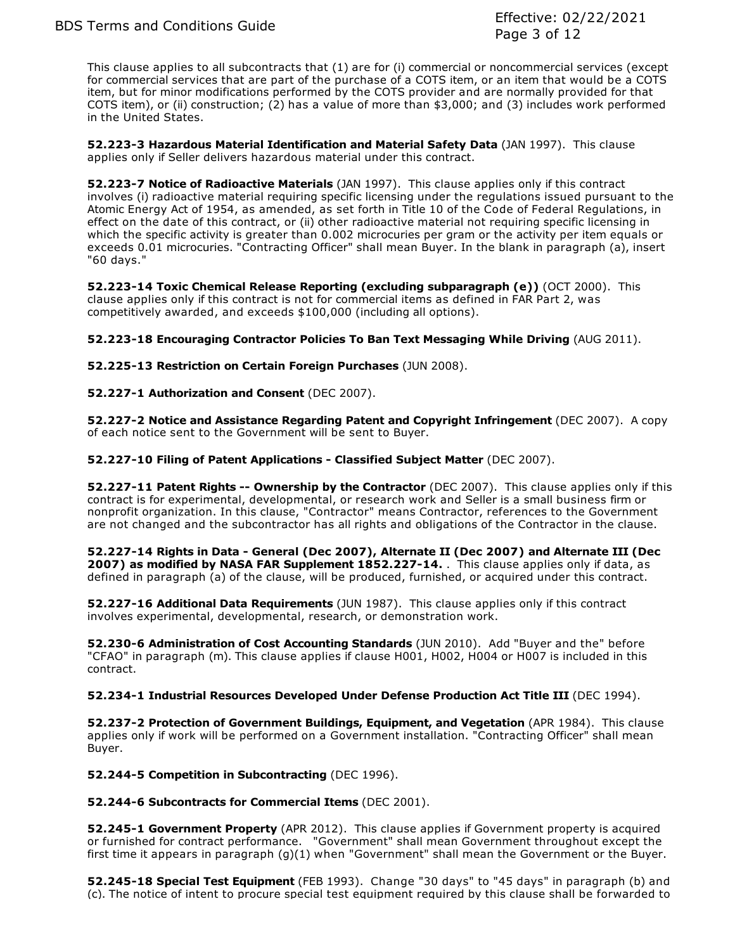This clause applies to all subcontracts that (1) are for (i) commercial or noncommercial services (except for commercial services that are part of the purchase of a COTS item, or an item that would be a COTS item, but for minor modifications performed by the COTS provider and are normally provided for that COTS item), or (ii) construction; (2) has a value of more than \$3,000; and (3) includes work performed in the United States.

**52.223-3 Hazardous Material Identification and Material Safety Data** (JAN 1997). This clause applies only if Seller delivers hazardous material under this contract.

**52.223-7 Notice of Radioactive Materials** (JAN 1997). This clause applies only if this contract involves (i) radioactive material requiring specific licensing under the regulations issued pursuant to the Atomic Energy Act of 1954, as amended, as set forth in Title 10 of the Code of Federal Regulations, in effect on the date of this contract, or (ii) other radioactive material not requiring specific licensing in which the specific activity is greater than 0.002 microcuries per gram or the activity per item equals or exceeds 0.01 microcuries. "Contracting Officer" shall mean Buyer. In the blank in paragraph (a), insert "60 days."

**52.223-14 Toxic Chemical Release Reporting (excluding subparagraph (e))** (OCT 2000). This clause applies only if this contract is not for commercial items as defined in FAR Part 2, was competitively awarded, and exceeds \$100,000 (including all options).

**52.223-18 Encouraging Contractor Policies To Ban Text Messaging While Driving** (AUG 2011).

**52.225-13 Restriction on Certain Foreign Purchases** (JUN 2008).

# **52.227-1 Authorization and Consent** (DEC 2007).

**52.227-2 Notice and Assistance Regarding Patent and Copyright Infringement** (DEC 2007). A copy of each notice sent to the Government will be sent to Buyer.

**52.227-10 Filing of Patent Applications - Classified Subject Matter** (DEC 2007).

**52.227-11 Patent Rights -- Ownership by the Contractor** (DEC 2007). This clause applies only if this contract is for experimental, developmental, or research work and Seller is a small business firm or nonprofit organization. In this clause, "Contractor" means Contractor, references to the Government are not changed and the subcontractor has all rights and obligations of the Contractor in the clause.

**52.227-14 Rights in Data - General (Dec 2007), Alternate II (Dec 2007) and Alternate III (Dec 2007) as modified by NASA FAR Supplement 1852.227-14.** . This clause applies only if data, as defined in paragraph (a) of the clause, will be produced, furnished, or acquired under this contract.

**52.227-16 Additional Data Requirements** (JUN 1987). This clause applies only if this contract involves experimental, developmental, research, or demonstration work.

**52.230-6 Administration of Cost Accounting Standards** (JUN 2010). Add "Buyer and the" before "CFAO" in paragraph (m). This clause applies if clause H001, H002, H004 or H007 is included in this contract.

## **52.234-1 Industrial Resources Developed Under Defense Production Act Title III** (DEC 1994).

**52.237-2 Protection of Government Buildings, Equipment, and Vegetation** (APR 1984). This clause applies only if work will be performed on a Government installation. "Contracting Officer" shall mean Buyer.

**52.244-5 Competition in Subcontracting** (DEC 1996).

## **52.244-6 Subcontracts for Commercial Items** (DEC 2001).

**52.245-1 Government Property** (APR 2012). This clause applies if Government property is acquired or furnished for contract performance. "Government" shall mean Government throughout except the first time it appears in paragraph (g)(1) when "Government" shall mean the Government or the Buyer.

**52.245-18 Special Test Equipment** (FEB 1993). Change "30 days" to "45 days" in paragraph (b) and (c). The notice of intent to procure special test equipment required by this clause shall be forwarded to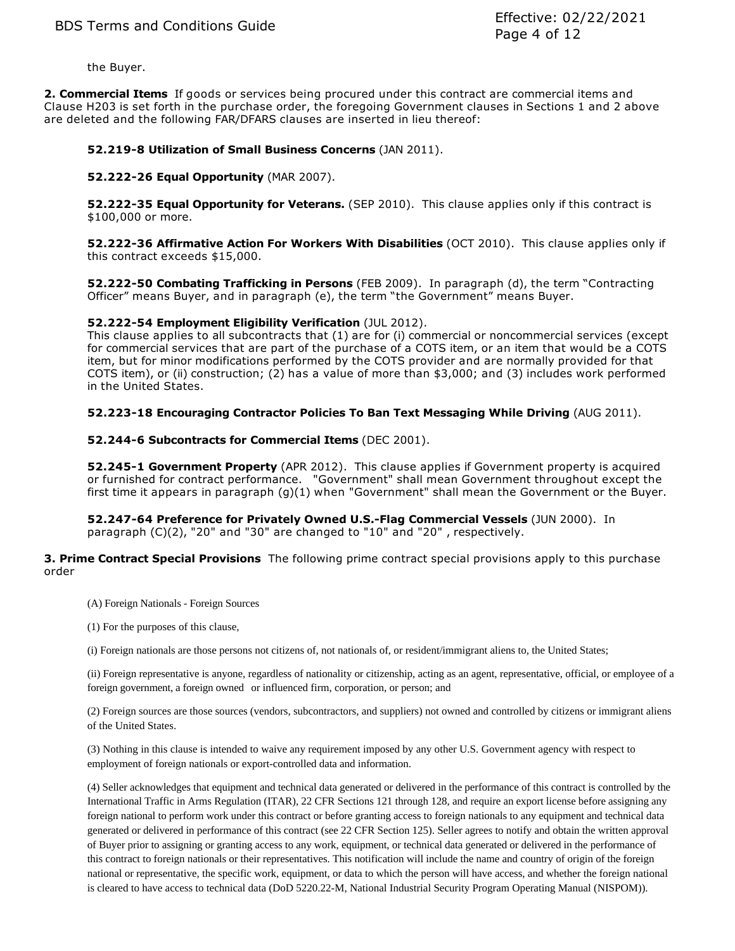the Buyer.

**2. Commercial Items** If goods or services being procured under this contract are commercial items and Clause H203 is set forth in the purchase order, the foregoing Government clauses in Sections 1 and 2 above are deleted and the following FAR/DFARS clauses are inserted in lieu thereof:

## **52.219-8 Utilization of Small Business Concerns** (JAN 2011).

## **52.222-26 Equal Opportunity** (MAR 2007).

**52.222-35 Equal Opportunity for Veterans.** (SEP 2010). This clause applies only if this contract is \$100,000 or more.

**52.222-36 Affirmative Action For Workers With Disabilities** (OCT 2010). This clause applies only if this contract exceeds \$15,000.

**52.222-50 Combating Trafficking in Persons** (FEB 2009). In paragraph (d), the term "Contracting Officer" means Buyer, and in paragraph (e), the term "the Government" means Buyer.

## **52.222-54 Employment Eligibility Verification** (JUL 2012).

This clause applies to all subcontracts that (1) are for (i) commercial or noncommercial services (except for commercial services that are part of the purchase of a COTS item, or an item that would be a COTS item, but for minor modifications performed by the COTS provider and are normally provided for that COTS item), or (ii) construction; (2) has a value of more than \$3,000; and (3) includes work performed in the United States.

## **52.223-18 Encouraging Contractor Policies To Ban Text Messaging While Driving** (AUG 2011).

## **52.244-6 Subcontracts for Commercial Items** (DEC 2001).

**52.245-1 Government Property** (APR 2012). This clause applies if Government property is acquired or furnished for contract performance. "Government" shall mean Government throughout except the first time it appears in paragraph (g)(1) when "Government" shall mean the Government or the Buyer.

**52.247-64 Preference for Privately Owned U.S.-Flag Commercial Vessels** (JUN 2000). In paragraph (C)(2), "20" and "30" are changed to "10" and "20" , respectively.

**3. Prime Contract Special Provisions** The following prime contract special provisions apply to this purchase order

- (A) Foreign Nationals Foreign Sources
- (1) For the purposes of this clause,
- (i) Foreign nationals are those persons not citizens of, not nationals of, or resident/immigrant aliens to, the United States;

(ii) Foreign representative is anyone, regardless of nationality or citizenship, acting as an agent, representative, official, or employee of a foreign government, a foreign owned or influenced firm, corporation, or person; and

(2) Foreign sources are those sources (vendors, subcontractors, and suppliers) not owned and controlled by citizens or immigrant aliens of the United States.

(3) Nothing in this clause is intended to waive any requirement imposed by any other U.S. Government agency with respect to employment of foreign nationals or export-controlled data and information.

(4) Seller acknowledges that equipment and technical data generated or delivered in the performance of this contract is controlled by the International Traffic in Arms Regulation (ITAR), 22 CFR Sections 121 through 128, and require an export license before assigning any foreign national to perform work under this contract or before granting access to foreign nationals to any equipment and technical data generated or delivered in performance of this contract (see 22 CFR Section 125). Seller agrees to notify and obtain the written approval of Buyer prior to assigning or granting access to any work, equipment, or technical data generated or delivered in the performance of this contract to foreign nationals or their representatives. This notification will include the name and country of origin of the foreign national or representative, the specific work, equipment, or data to which the person will have access, and whether the foreign national is cleared to have access to technical data (DoD 5220.22-M, National Industrial Security Program Operating Manual (NISPOM)).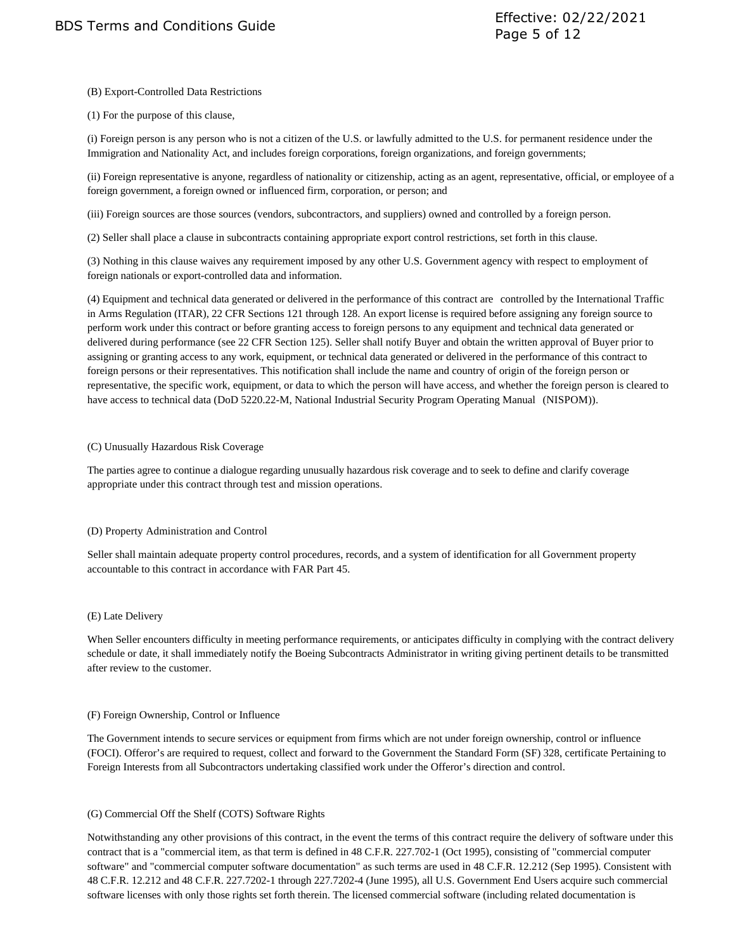### (B) Export-Controlled Data Restrictions

(1) For the purpose of this clause,

(i) Foreign person is any person who is not a citizen of the U.S. or lawfully admitted to the U.S. for permanent residence under the Immigration and Nationality Act, and includes foreign corporations, foreign organizations, and foreign governments;

(ii) Foreign representative is anyone, regardless of nationality or citizenship, acting as an agent, representative, official, or employee of a foreign government, a foreign owned or influenced firm, corporation, or person; and

(iii) Foreign sources are those sources (vendors, subcontractors, and suppliers) owned and controlled by a foreign person.

(2) Seller shall place a clause in subcontracts containing appropriate export control restrictions, set forth in this clause.

(3) Nothing in this clause waives any requirement imposed by any other U.S. Government agency with respect to employment of foreign nationals or export-controlled data and information.

(4) Equipment and technical data generated or delivered in the performance of this contract are controlled by the International Traffic in Arms Regulation (ITAR), 22 CFR Sections 121 through 128. An export license is required before assigning any foreign source to perform work under this contract or before granting access to foreign persons to any equipment and technical data generated or delivered during performance (see 22 CFR Section 125). Seller shall notify Buyer and obtain the written approval of Buyer prior to assigning or granting access to any work, equipment, or technical data generated or delivered in the performance of this contract to foreign persons or their representatives. This notification shall include the name and country of origin of the foreign person or representative, the specific work, equipment, or data to which the person will have access, and whether the foreign person is cleared to have access to technical data (DoD 5220.22-M, National Industrial Security Program Operating Manual (NISPOM)).

#### (C) Unusually Hazardous Risk Coverage

The parties agree to continue a dialogue regarding unusually hazardous risk coverage and to seek to define and clarify coverage appropriate under this contract through test and mission operations.

### (D) Property Administration and Control

Seller shall maintain adequate property control procedures, records, and a system of identification for all Government property accountable to this contract in accordance with FAR Part 45.

#### (E) Late Delivery

When Seller encounters difficulty in meeting performance requirements, or anticipates difficulty in complying with the contract delivery schedule or date, it shall immediately notify the Boeing Subcontracts Administrator in writing giving pertinent details to be transmitted after review to the customer.

#### (F) Foreign Ownership, Control or Influence

The Government intends to secure services or equipment from firms which are not under foreign ownership, control or influence (FOCI). Offeror's are required to request, collect and forward to the Government the Standard Form (SF) 328, certificate Pertaining to Foreign Interests from all Subcontractors undertaking classified work under the Offeror's direction and control.

### (G) Commercial Off the Shelf (COTS) Software Rights

Notwithstanding any other provisions of this contract, in the event the terms of this contract require the delivery of software under this contract that is a "commercial item, as that term is defined in 48 C.F.R. 227.702-1 (Oct 1995), consisting of "commercial computer software" and "commercial computer software documentation" as such terms are used in 48 C.F.R. 12.212 (Sep 1995). Consistent with 48 C.F.R. 12.212 and 48 C.F.R. 227.7202-1 through 227.7202-4 (June 1995), all U.S. Government End Users acquire such commercial software licenses with only those rights set forth therein. The licensed commercial software (including related documentation is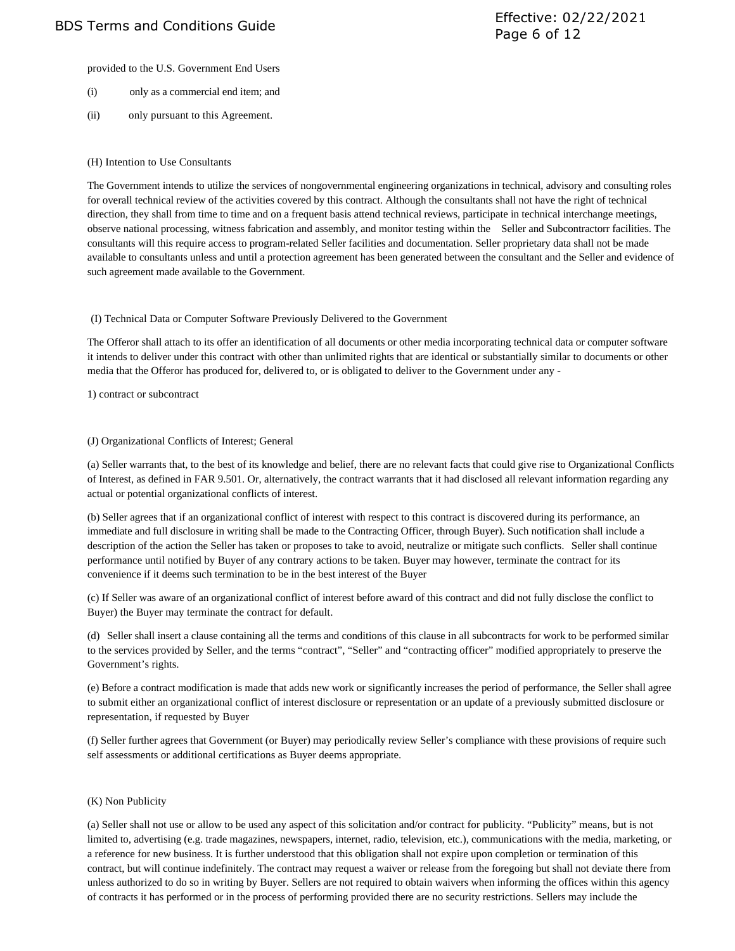provided to the U.S. Government End Users

- (i) only as a commercial end item; and
- (ii) only pursuant to this Agreement.

### (H) Intention to Use Consultants

The Government intends to utilize the services of nongovernmental engineering organizations in technical, advisory and consulting roles for overall technical review of the activities covered by this contract. Although the consultants shall not have the right of technical direction, they shall from time to time and on a frequent basis attend technical reviews, participate in technical interchange meetings, observe national processing, witness fabrication and assembly, and monitor testing within the Seller and Subcontractorr facilities. The consultants will this require access to program-related Seller facilities and documentation. Seller proprietary data shall not be made available to consultants unless and until a protection agreement has been generated between the consultant and the Seller and evidence of such agreement made available to the Government.

#### (I) Technical Data or Computer Software Previously Delivered to the Government

The Offeror shall attach to its offer an identification of all documents or other media incorporating technical data or computer software it intends to deliver under this contract with other than unlimited rights that are identical or substantially similar to documents or other media that the Offeror has produced for, delivered to, or is obligated to deliver to the Government under any -

#### 1) contract or subcontract

#### (J) Organizational Conflicts of Interest; General

(a) Seller warrants that, to the best of its knowledge and belief, there are no relevant facts that could give rise to Organizational Conflicts of Interest, as defined in FAR 9.501. Or, alternatively, the contract warrants that it had disclosed all relevant information regarding any actual or potential organizational conflicts of interest.

(b) Seller agrees that if an organizational conflict of interest with respect to this contract is discovered during its performance, an immediate and full disclosure in writing shall be made to the Contracting Officer, through Buyer). Such notification shall include a description of the action the Seller has taken or proposes to take to avoid, neutralize or mitigate such conflicts. Seller shall continue performance until notified by Buyer of any contrary actions to be taken. Buyer may however, terminate the contract for its convenience if it deems such termination to be in the best interest of the Buyer

(c) If Seller was aware of an organizational conflict of interest before award of this contract and did not fully disclose the conflict to Buyer) the Buyer may terminate the contract for default.

(d) Seller shall insert a clause containing all the terms and conditions of this clause in all subcontracts for work to be performed similar to the services provided by Seller, and the terms "contract", "Seller" and "contracting officer" modified appropriately to preserve the Government's rights.

(e) Before a contract modification is made that adds new work or significantly increases the period of performance, the Seller shall agree to submit either an organizational conflict of interest disclosure or representation or an update of a previously submitted disclosure or representation, if requested by Buyer

(f) Seller further agrees that Government (or Buyer) may periodically review Seller's compliance with these provisions of require such self assessments or additional certifications as Buyer deems appropriate.

### (K) Non Publicity

(a) Seller shall not use or allow to be used any aspect of this solicitation and/or contract for publicity. "Publicity" means, but is not limited to, advertising (e.g. trade magazines, newspapers, internet, radio, television, etc.), communications with the media, marketing, or a reference for new business. It is further understood that this obligation shall not expire upon completion or termination of this contract, but will continue indefinitely. The contract may request a waiver or release from the foregoing but shall not deviate there from unless authorized to do so in writing by Buyer. Sellers are not required to obtain waivers when informing the offices within this agency of contracts it has performed or in the process of performing provided there are no security restrictions. Sellers may include the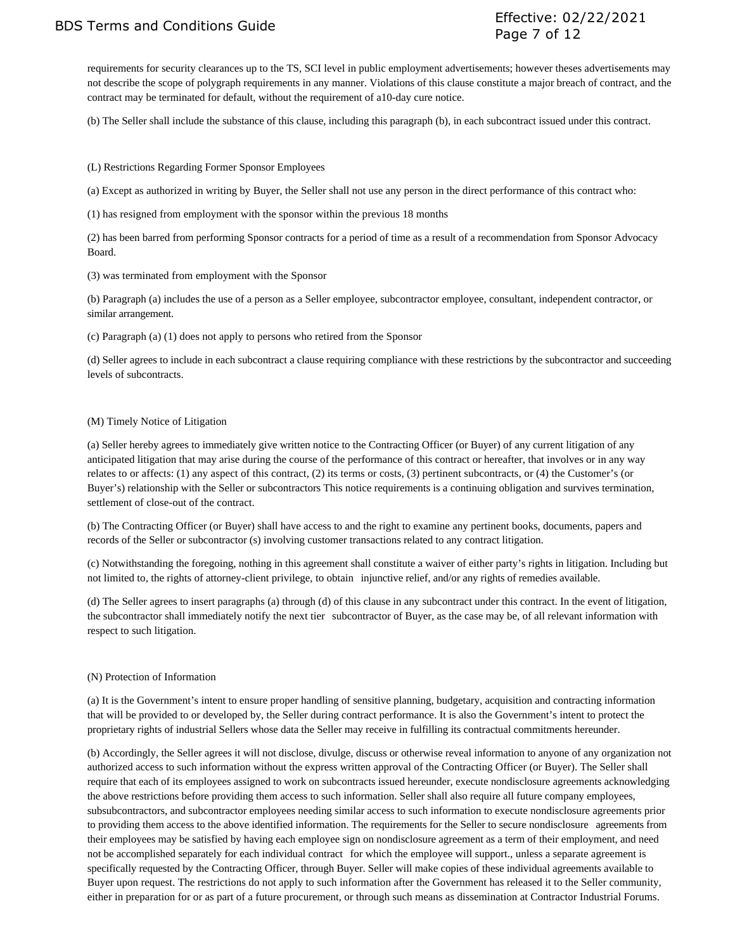BDS Terms and Conditions Guide Effective: 02/22/2021 Page 7 of 12

requirements for security clearances up to the TS, SCI level in public employment advertisements; however theses advertisements may not describe the scope of polygraph requirements in any manner. Violations of this clause constitute a major breach of contract, and the contract may be terminated for default, without the requirement of a10-day cure notice.

(b) The Seller shall include the substance of this clause, including this paragraph (b), in each subcontract issued under this contract.

(L) Restrictions Regarding Former Sponsor Employees

(a) Except as authorized in writing by Buyer, the Seller shall not use any person in the direct performance of this contract who:

(1) has resigned from employment with the sponsor within the previous 18 months

(2) has been barred from performing Sponsor contracts for a period of time as a result of a recommendation from Sponsor Advocacy Board.

(3) was terminated from employment with the Sponsor

(b) Paragraph (a) includes the use of a person as a Seller employee, subcontractor employee, consultant, independent contractor, or similar arrangement.

(c) Paragraph (a) (1) does not apply to persons who retired from the Sponsor

(d) Seller agrees to include in each subcontract a clause requiring compliance with these restrictions by the subcontractor and succeeding levels of subcontracts.

#### (M) Timely Notice of Litigation

(a) Seller hereby agrees to immediately give written notice to the Contracting Officer (or Buyer) of any current litigation of any anticipated litigation that may arise during the course of the performance of this contract or hereafter, that involves or in any way relates to or affects: (1) any aspect of this contract, (2) its terms or costs, (3) pertinent subcontracts, or (4) the Customer's (or Buyer's) relationship with the Seller or subcontractors This notice requirements is a continuing obligation and survives termination, settlement of close-out of the contract.

(b) The Contracting Officer (or Buyer) shall have access to and the right to examine any pertinent books, documents, papers and records of the Seller or subcontractor (s) involving customer transactions related to any contract litigation.

(c) Notwithstanding the foregoing, nothing in this agreement shall constitute a waiver of either party's rights in litigation. Including but not limited to, the rights of attorney-client privilege, to obtain injunctive relief, and/or any rights of remedies available.

(d) The Seller agrees to insert paragraphs (a) through (d) of this clause in any subcontract under this contract. In the event of litigation, the subcontractor shall immediately notify the next tier subcontractor of Buyer, as the case may be, of all relevant information with respect to such litigation.

#### (N) Protection of Information

(a) It is the Government's intent to ensure proper handling of sensitive planning, budgetary, acquisition and contracting information that will be provided to or developed by, the Seller during contract performance. It is also the Government's intent to protect the proprietary rights of industrial Sellers whose data the Seller may receive in fulfilling its contractual commitments hereunder.

(b) Accordingly, the Seller agrees it will not disclose, divulge, discuss or otherwise reveal information to anyone of any organization not authorized access to such information without the express written approval of the Contracting Officer (or Buyer). The Seller shall require that each of its employees assigned to work on subcontracts issued hereunder, execute nondisclosure agreements acknowledging the above restrictions before providing them access to such information. Seller shall also require all future company employees, subsubcontractors, and subcontractor employees needing similar access to such information to execute nondisclosure agreements prior to providing them access to the above identified information. The requirements for the Seller to secure nondisclosure agreements from their employees may be satisfied by having each employee sign on nondisclosure agreement as a term of their employment, and need not be accomplished separately for each individual contract for which the employee will support., unless a separate agreement is specifically requested by the Contracting Officer, through Buyer. Seller will make copies of these individual agreements available to Buyer upon request. The restrictions do not apply to such information after the Government has released it to the Seller community, either in preparation for or as part of a future procurement, or through such means as dissemination at Contractor Industrial Forums.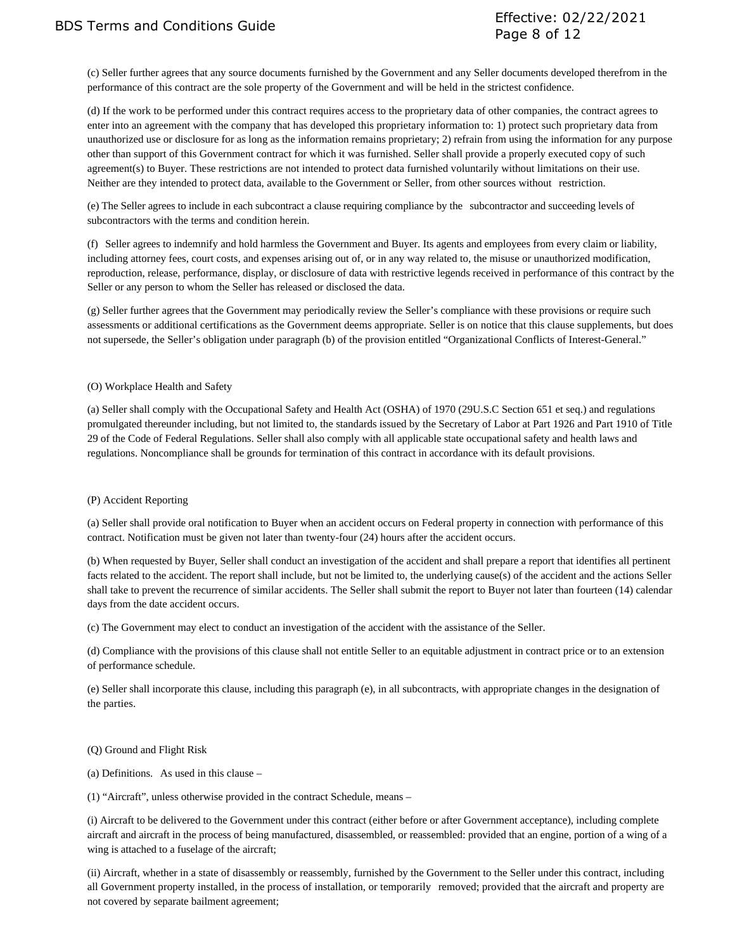(c) Seller further agrees that any source documents furnished by the Government and any Seller documents developed therefrom in the performance of this contract are the sole property of the Government and will be held in the strictest confidence.

(d) If the work to be performed under this contract requires access to the proprietary data of other companies, the contract agrees to enter into an agreement with the company that has developed this proprietary information to: 1) protect such proprietary data from unauthorized use or disclosure for as long as the information remains proprietary; 2) refrain from using the information for any purpose other than support of this Government contract for which it was furnished. Seller shall provide a properly executed copy of such agreement(s) to Buyer. These restrictions are not intended to protect data furnished voluntarily without limitations on their use. Neither are they intended to protect data, available to the Government or Seller, from other sources without restriction.

(e) The Seller agrees to include in each subcontract a clause requiring compliance by the subcontractor and succeeding levels of subcontractors with the terms and condition herein.

(f) Seller agrees to indemnify and hold harmless the Government and Buyer. Its agents and employees from every claim or liability, including attorney fees, court costs, and expenses arising out of, or in any way related to, the misuse or unauthorized modification, reproduction, release, performance, display, or disclosure of data with restrictive legends received in performance of this contract by the Seller or any person to whom the Seller has released or disclosed the data.

(g) Seller further agrees that the Government may periodically review the Seller's compliance with these provisions or require such assessments or additional certifications as the Government deems appropriate. Seller is on notice that this clause supplements, but does not supersede, the Seller's obligation under paragraph (b) of the provision entitled "Organizational Conflicts of Interest-General."

#### (O) Workplace Health and Safety

(a) Seller shall comply with the Occupational Safety and Health Act (OSHA) of 1970 (29U.S.C Section 651 et seq.) and regulations promulgated thereunder including, but not limited to, the standards issued by the Secretary of Labor at Part 1926 and Part 1910 of Title 29 of the Code of Federal Regulations. Seller shall also comply with all applicable state occupational safety and health laws and regulations. Noncompliance shall be grounds for termination of this contract in accordance with its default provisions.

### (P) Accident Reporting

(a) Seller shall provide oral notification to Buyer when an accident occurs on Federal property in connection with performance of this contract. Notification must be given not later than twenty-four (24) hours after the accident occurs.

(b) When requested by Buyer, Seller shall conduct an investigation of the accident and shall prepare a report that identifies all pertinent facts related to the accident. The report shall include, but not be limited to, the underlying cause(s) of the accident and the actions Seller shall take to prevent the recurrence of similar accidents. The Seller shall submit the report to Buyer not later than fourteen (14) calendar days from the date accident occurs.

(c) The Government may elect to conduct an investigation of the accident with the assistance of the Seller.

(d) Compliance with the provisions of this clause shall not entitle Seller to an equitable adjustment in contract price or to an extension of performance schedule.

(e) Seller shall incorporate this clause, including this paragraph (e), in all subcontracts, with appropriate changes in the designation of the parties.

#### (Q) Ground and Flight Risk

(a) Definitions. As used in this clause –

(1) "Aircraft", unless otherwise provided in the contract Schedule, means –

(i) Aircraft to be delivered to the Government under this contract (either before or after Government acceptance), including complete aircraft and aircraft in the process of being manufactured, disassembled, or reassembled: provided that an engine, portion of a wing of a wing is attached to a fuselage of the aircraft;

(ii) Aircraft, whether in a state of disassembly or reassembly, furnished by the Government to the Seller under this contract, including all Government property installed, in the process of installation, or temporarily removed; provided that the aircraft and property are not covered by separate bailment agreement;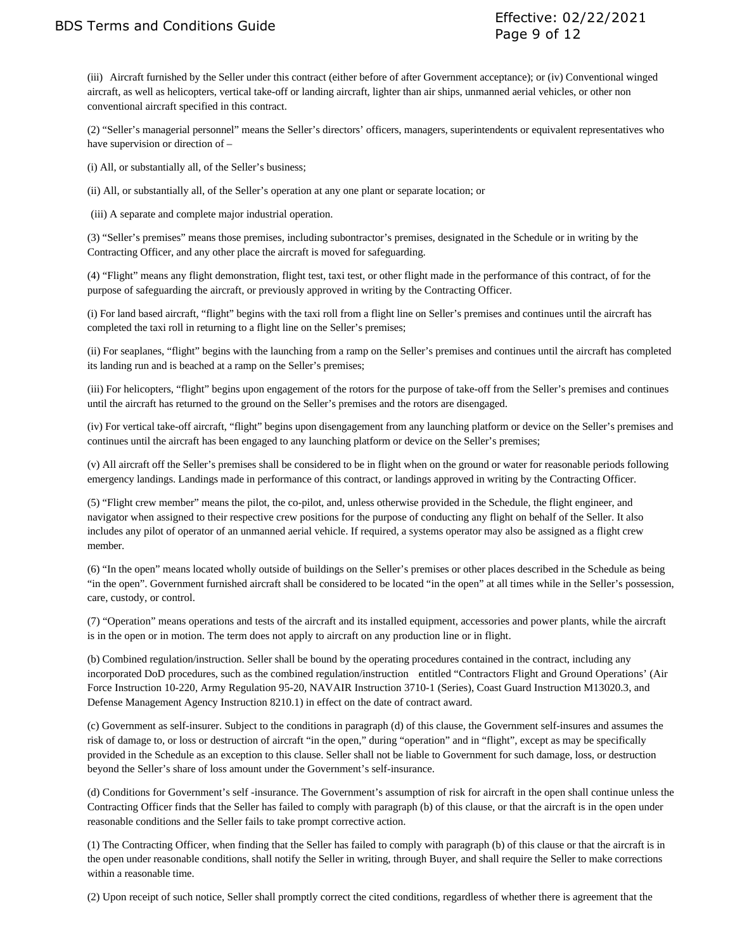(iii) Aircraft furnished by the Seller under this contract (either before of after Government acceptance); or (iv) Conventional winged aircraft, as well as helicopters, vertical take-off or landing aircraft, lighter than air ships, unmanned aerial vehicles, or other non conventional aircraft specified in this contract.

(2) "Seller's managerial personnel" means the Seller's directors' officers, managers, superintendents or equivalent representatives who have supervision or direction of –

(i) All, or substantially all, of the Seller's business;

(ii) All, or substantially all, of the Seller's operation at any one plant or separate location; or

(iii) A separate and complete major industrial operation.

(3) "Seller's premises" means those premises, including subontractor's premises, designated in the Schedule or in writing by the Contracting Officer, and any other place the aircraft is moved for safeguarding.

(4) "Flight" means any flight demonstration, flight test, taxi test, or other flight made in the performance of this contract, of for the purpose of safeguarding the aircraft, or previously approved in writing by the Contracting Officer.

(i) For land based aircraft, "flight" begins with the taxi roll from a flight line on Seller's premises and continues until the aircraft has completed the taxi roll in returning to a flight line on the Seller's premises;

(ii) For seaplanes, "flight" begins with the launching from a ramp on the Seller's premises and continues until the aircraft has completed its landing run and is beached at a ramp on the Seller's premises;

(iii) For helicopters, "flight" begins upon engagement of the rotors for the purpose of take-off from the Seller's premises and continues until the aircraft has returned to the ground on the Seller's premises and the rotors are disengaged.

(iv) For vertical take-off aircraft, "flight" begins upon disengagement from any launching platform or device on the Seller's premises and continues until the aircraft has been engaged to any launching platform or device on the Seller's premises;

(v) All aircraft off the Seller's premises shall be considered to be in flight when on the ground or water for reasonable periods following emergency landings. Landings made in performance of this contract, or landings approved in writing by the Contracting Officer.

(5) "Flight crew member" means the pilot, the co-pilot, and, unless otherwise provided in the Schedule, the flight engineer, and navigator when assigned to their respective crew positions for the purpose of conducting any flight on behalf of the Seller. It also includes any pilot of operator of an unmanned aerial vehicle. If required, a systems operator may also be assigned as a flight crew member.

(6) "In the open" means located wholly outside of buildings on the Seller's premises or other places described in the Schedule as being "in the open". Government furnished aircraft shall be considered to be located "in the open" at all times while in the Seller's possession, care, custody, or control.

(7) "Operation" means operations and tests of the aircraft and its installed equipment, accessories and power plants, while the aircraft is in the open or in motion. The term does not apply to aircraft on any production line or in flight.

(b) Combined regulation/instruction. Seller shall be bound by the operating procedures contained in the contract, including any incorporated DoD procedures, such as the combined regulation/instruction entitled "Contractors Flight and Ground Operations' (Air Force Instruction 10-220, Army Regulation 95-20, NAVAIR Instruction 3710-1 (Series), Coast Guard Instruction M13020.3, and Defense Management Agency Instruction 8210.1) in effect on the date of contract award.

(c) Government as self-insurer. Subject to the conditions in paragraph (d) of this clause, the Government self-insures and assumes the risk of damage to, or loss or destruction of aircraft "in the open," during "operation" and in "flight", except as may be specifically provided in the Schedule as an exception to this clause. Seller shall not be liable to Government for such damage, loss, or destruction beyond the Seller's share of loss amount under the Government's self-insurance.

(d) Conditions for Government's self -insurance. The Government's assumption of risk for aircraft in the open shall continue unless the Contracting Officer finds that the Seller has failed to comply with paragraph (b) of this clause, or that the aircraft is in the open under reasonable conditions and the Seller fails to take prompt corrective action.

(1) The Contracting Officer, when finding that the Seller has failed to comply with paragraph (b) of this clause or that the aircraft is in the open under reasonable conditions, shall notify the Seller in writing, through Buyer, and shall require the Seller to make corrections within a reasonable time.

(2) Upon receipt of such notice, Seller shall promptly correct the cited conditions, regardless of whether there is agreement that the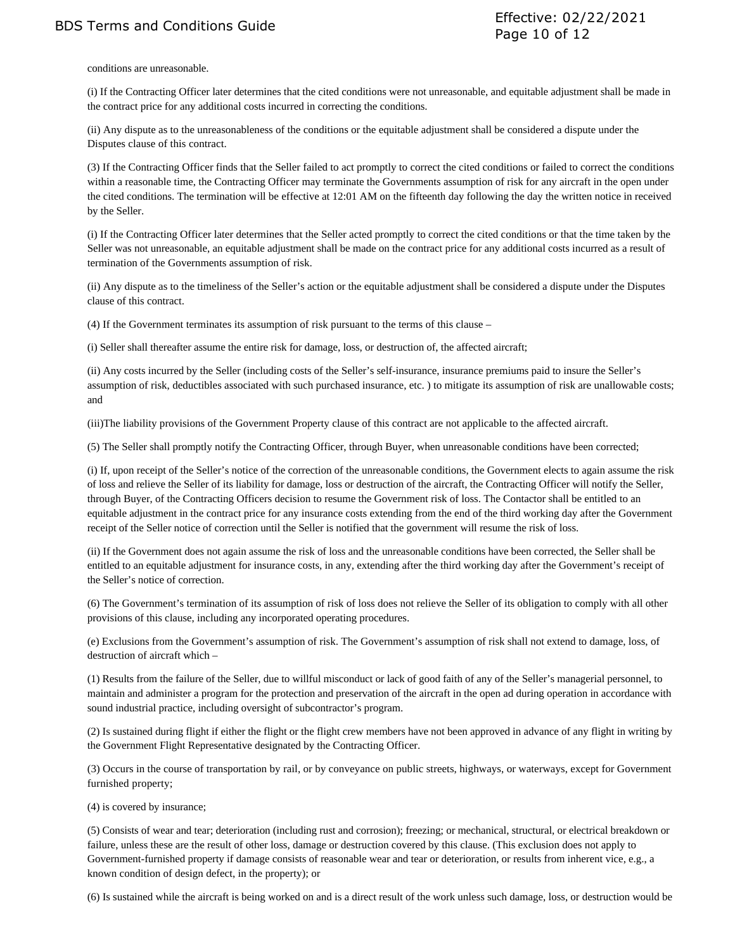conditions are unreasonable.

(i) If the Contracting Officer later determines that the cited conditions were not unreasonable, and equitable adjustment shall be made in the contract price for any additional costs incurred in correcting the conditions.

(ii) Any dispute as to the unreasonableness of the conditions or the equitable adjustment shall be considered a dispute under the Disputes clause of this contract.

(3) If the Contracting Officer finds that the Seller failed to act promptly to correct the cited conditions or failed to correct the conditions within a reasonable time, the Contracting Officer may terminate the Governments assumption of risk for any aircraft in the open under the cited conditions. The termination will be effective at 12:01 AM on the fifteenth day following the day the written notice in received by the Seller.

(i) If the Contracting Officer later determines that the Seller acted promptly to correct the cited conditions or that the time taken by the Seller was not unreasonable, an equitable adjustment shall be made on the contract price for any additional costs incurred as a result of termination of the Governments assumption of risk.

(ii) Any dispute as to the timeliness of the Seller's action or the equitable adjustment shall be considered a dispute under the Disputes clause of this contract.

(4) If the Government terminates its assumption of risk pursuant to the terms of this clause –

(i) Seller shall thereafter assume the entire risk for damage, loss, or destruction of, the affected aircraft;

(ii) Any costs incurred by the Seller (including costs of the Seller's self-insurance, insurance premiums paid to insure the Seller's assumption of risk, deductibles associated with such purchased insurance, etc. ) to mitigate its assumption of risk are unallowable costs; and

(iii)The liability provisions of the Government Property clause of this contract are not applicable to the affected aircraft.

(5) The Seller shall promptly notify the Contracting Officer, through Buyer, when unreasonable conditions have been corrected;

(i) If, upon receipt of the Seller's notice of the correction of the unreasonable conditions, the Government elects to again assume the risk of loss and relieve the Seller of its liability for damage, loss or destruction of the aircraft, the Contracting Officer will notify the Seller, through Buyer, of the Contracting Officers decision to resume the Government risk of loss. The Contactor shall be entitled to an equitable adjustment in the contract price for any insurance costs extending from the end of the third working day after the Government receipt of the Seller notice of correction until the Seller is notified that the government will resume the risk of loss.

(ii) If the Government does not again assume the risk of loss and the unreasonable conditions have been corrected, the Seller shall be entitled to an equitable adjustment for insurance costs, in any, extending after the third working day after the Government's receipt of the Seller's notice of correction.

(6) The Government's termination of its assumption of risk of loss does not relieve the Seller of its obligation to comply with all other provisions of this clause, including any incorporated operating procedures.

(e) Exclusions from the Government's assumption of risk. The Government's assumption of risk shall not extend to damage, loss, of destruction of aircraft which –

(1) Results from the failure of the Seller, due to willful misconduct or lack of good faith of any of the Seller's managerial personnel, to maintain and administer a program for the protection and preservation of the aircraft in the open ad during operation in accordance with sound industrial practice, including oversight of subcontractor's program.

(2) Is sustained during flight if either the flight or the flight crew members have not been approved in advance of any flight in writing by the Government Flight Representative designated by the Contracting Officer.

(3) Occurs in the course of transportation by rail, or by conveyance on public streets, highways, or waterways, except for Government furnished property;

(4) is covered by insurance;

(5) Consists of wear and tear; deterioration (including rust and corrosion); freezing; or mechanical, structural, or electrical breakdown or failure, unless these are the result of other loss, damage or destruction covered by this clause. (This exclusion does not apply to Government-furnished property if damage consists of reasonable wear and tear or deterioration, or results from inherent vice, e.g., a known condition of design defect, in the property); or

(6) Is sustained while the aircraft is being worked on and is a direct result of the work unless such damage, loss, or destruction would be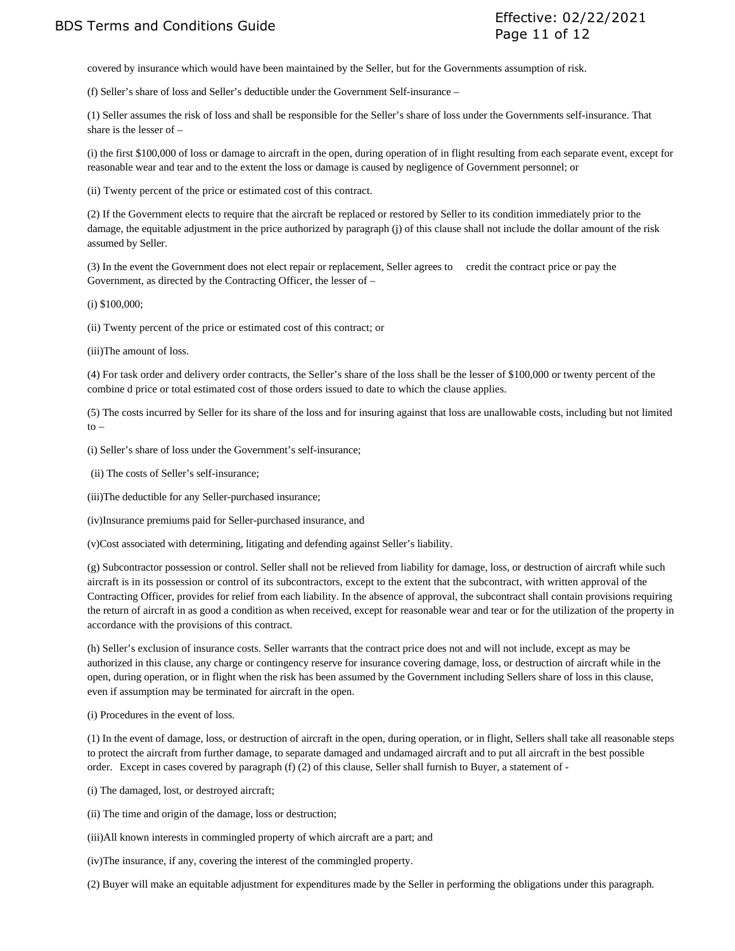BDS Terms and Conditions Guide Effective: 02/22/2021 Page 11 of 12

covered by insurance which would have been maintained by the Seller, but for the Governments assumption of risk.

(f) Seller's share of loss and Seller's deductible under the Government Self-insurance –

(1) Seller assumes the risk of loss and shall be responsible for the Seller's share of loss under the Governments self-insurance. That share is the lesser of –

(i) the first \$100,000 of loss or damage to aircraft in the open, during operation of in flight resulting from each separate event, except for reasonable wear and tear and to the extent the loss or damage is caused by negligence of Government personnel; or

(ii) Twenty percent of the price or estimated cost of this contract.

(2) If the Government elects to require that the aircraft be replaced or restored by Seller to its condition immediately prior to the damage, the equitable adjustment in the price authorized by paragraph (j) of this clause shall not include the dollar amount of the risk assumed by Seller.

(3) In the event the Government does not elect repair or replacement, Seller agrees to credit the contract price or pay the Government, as directed by the Contracting Officer, the lesser of –

(i) \$100,000;

(ii) Twenty percent of the price or estimated cost of this contract; or

(iii)The amount of loss.

(4) For task order and delivery order contracts, the Seller's share of the loss shall be the lesser of \$100,000 or twenty percent of the combine d price or total estimated cost of those orders issued to date to which the clause applies.

(5) The costs incurred by Seller for its share of the loss and for insuring against that loss are unallowable costs, including but not limited  $to -$ 

(i) Seller's share of loss under the Government's self-insurance;

(ii) The costs of Seller's self-insurance;

(iii)The deductible for any Seller-purchased insurance;

(iv)Insurance premiums paid for Seller-purchased insurance, and

(v)Cost associated with determining, litigating and defending against Seller's liability.

(g) Subcontractor possession or control. Seller shall not be relieved from liability for damage, loss, or destruction of aircraft while such aircraft is in its possession or control of its subcontractors, except to the extent that the subcontract, with written approval of the Contracting Officer, provides for relief from each liability. In the absence of approval, the subcontract shall contain provisions requiring the return of aircraft in as good a condition as when received, except for reasonable wear and tear or for the utilization of the property in accordance with the provisions of this contract.

(h) Seller's exclusion of insurance costs. Seller warrants that the contract price does not and will not include, except as may be authorized in this clause, any charge or contingency reserve for insurance covering damage, loss, or destruction of aircraft while in the open, during operation, or in flight when the risk has been assumed by the Government including Sellers share of loss in this clause, even if assumption may be terminated for aircraft in the open.

(i) Procedures in the event of loss.

(1) In the event of damage, loss, or destruction of aircraft in the open, during operation, or in flight, Sellers shall take all reasonable steps to protect the aircraft from further damage, to separate damaged and undamaged aircraft and to put all aircraft in the best possible order. Except in cases covered by paragraph (f) (2) of this clause, Seller shall furnish to Buyer, a statement of -

(i) The damaged, lost, or destroyed aircraft;

(ii) The time and origin of the damage, loss or destruction;

(iii)All known interests in commingled property of which aircraft are a part; and

(iv)The insurance, if any, covering the interest of the commingled property.

(2) Buyer will make an equitable adjustment for expenditures made by the Seller in performing the obligations under this paragraph.